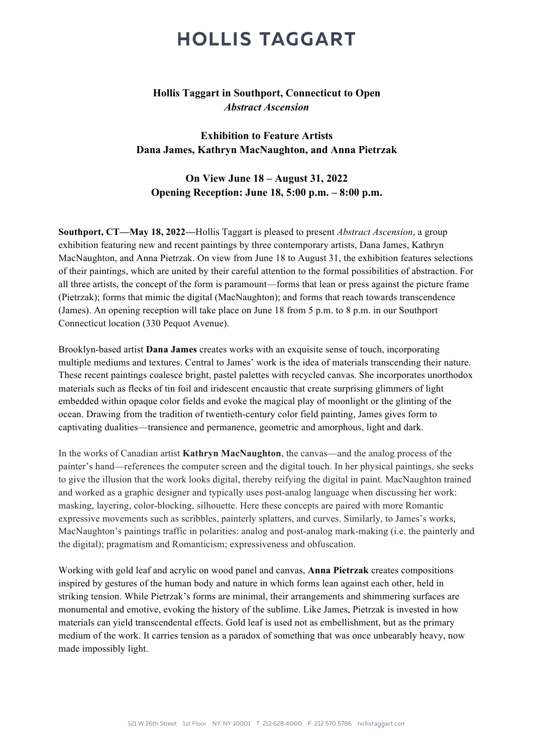## **HOLLIS TAGGART**

## **Hollis Taggart in Southport, Connecticut to Open** *Abstract Ascension*

**Exhibition to Feature Artists Dana James, Kathryn MacNaughton, and Anna Pietrzak**

**On View June 18 – August 31, 2022 Opening Reception: June 18, 5:00 p.m. – 8:00 p.m.**

**Southport, CT—May 18, 2022—**Hollis Taggart is pleased to present *Abstract Ascension*, a group exhibition featuring new and recent paintings by three contemporary artists, Dana James, Kathryn MacNaughton, and Anna Pietrzak. On view from June 18 to August 31, the exhibition features selections of their paintings, which are united by their careful attention to the formal possibilities of abstraction. For all three artists, the concept of the form is paramount––forms that lean or press against the picture frame (Pietrzak); forms that mimic the digital (MacNaughton); and forms that reach towards transcendence (James). An opening reception will take place on June 18 from 5 p.m. to 8 p.m. in our Southport Connecticut location (330 Pequot Avenue).

Brooklyn-based artist **Dana James** creates works with an exquisite sense of touch, incorporating multiple mediums and textures. Central to James' work is the idea of materials transcending their nature. These recent paintings coalesce bright, pastel palettes with recycled canvas. She incorporates unorthodox materials such as flecks of tin foil and iridescent encaustic that create surprising glimmers of light embedded within opaque color fields and evoke the magical play of moonlight or the glinting of the ocean. Drawing from the tradition of twentieth-century color field painting, James gives form to captivating dualities—transience and permanence, geometric and amorphous, light and dark.

In the works of Canadian artist **Kathryn MacNaughton**, the canvas—and the analog process of the painter's hand—references the computer screen and the digital touch. In her physical paintings, she seeks to give the illusion that the work looks digital, thereby reifying the digital in paint. MacNaughton trained and worked as a graphic designer and typically uses post-analog language when discussing her work: masking, layering, color-blocking, silhouette. Here these concepts are paired with more Romantic expressive movements such as scribbles, painterly splatters, and curves. Similarly, to James's works, MacNaughton's paintings traffic in polarities: analog and post-analog mark-making (i.e. the painterly and the digital); pragmatism and Romanticism; expressiveness and obfuscation.

Working with gold leaf and acrylic on wood panel and canvas, **Anna Pietrzak** creates compositions inspired by gestures of the human body and nature in which forms lean against each other, held in striking tension. While Pietrzak's forms are minimal, their arrangements and shimmering surfaces are monumental and emotive, evoking the history of the sublime. Like James, Pietrzak is invested in how materials can yield transcendental effects. Gold leaf is used not as embellishment, but as the primary medium of the work. It carries tension as a paradox of something that was once unbearably heavy, now made impossibly light.